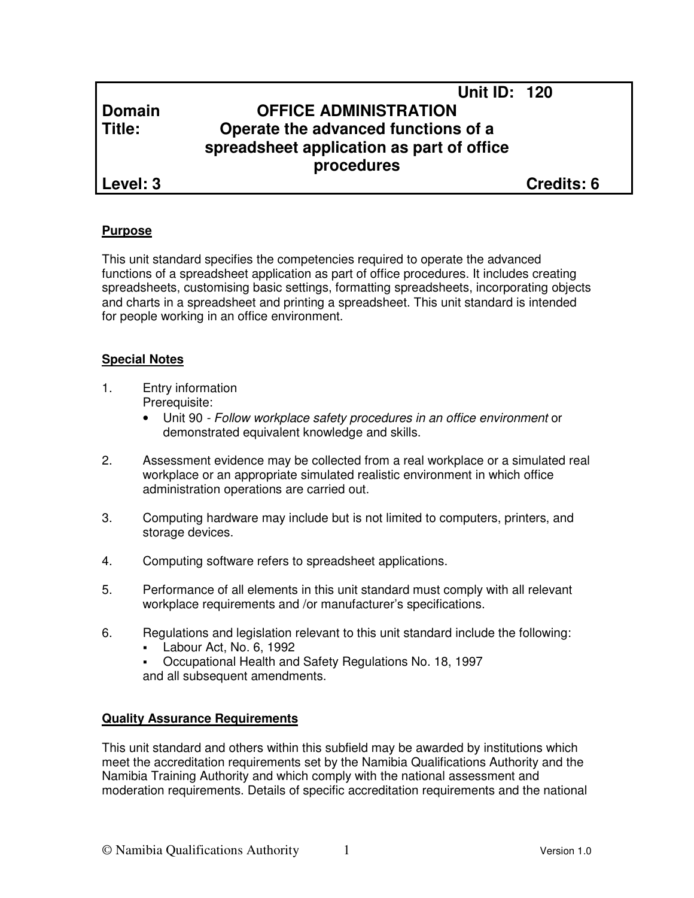# **Unit ID: 120 Domain OFFICE ADMINISTRATION Title: Operate the advanced functions of a spreadsheet application as part of office procedures**

**Level: 3 Credits: 6**

# **Purpose**

This unit standard specifies the competencies required to operate the advanced functions of a spreadsheet application as part of office procedures. It includes creating spreadsheets, customising basic settings, formatting spreadsheets, incorporating objects and charts in a spreadsheet and printing a spreadsheet. This unit standard is intended for people working in an office environment.

# **Special Notes**

- 1. Entry information Prerequisite:
	- Unit 90 Follow workplace safety procedures in an office environment or demonstrated equivalent knowledge and skills.
- 2. Assessment evidence may be collected from a real workplace or a simulated real workplace or an appropriate simulated realistic environment in which office administration operations are carried out.
- 3. Computing hardware may include but is not limited to computers, printers, and storage devices.
- 4. Computing software refers to spreadsheet applications.
- 5. Performance of all elements in this unit standard must comply with all relevant workplace requirements and /or manufacturer's specifications.
- 6. Regulations and legislation relevant to this unit standard include the following:
	- Labour Act, No. 6, 1992
	- Occupational Health and Safety Regulations No. 18, 1997 and all subsequent amendments.

# **Quality Assurance Requirements**

This unit standard and others within this subfield may be awarded by institutions which meet the accreditation requirements set by the Namibia Qualifications Authority and the Namibia Training Authority and which comply with the national assessment and moderation requirements. Details of specific accreditation requirements and the national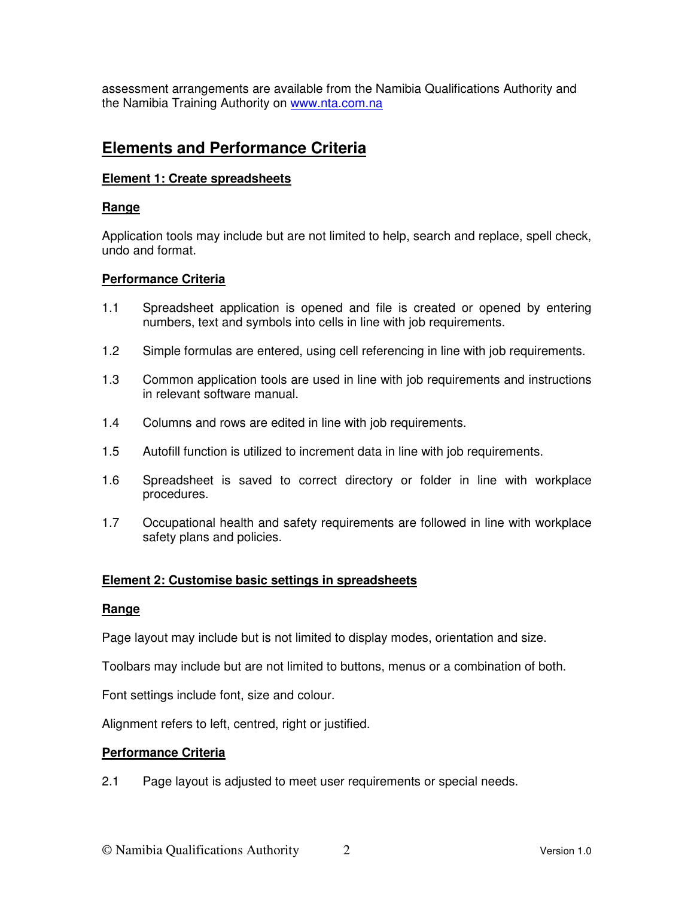assessment arrangements are available from the Namibia Qualifications Authority and the Namibia Training Authority on www.nta.com.na

# **Elements and Performance Criteria**

# **Element 1: Create spreadsheets**

#### **Range**

Application tools may include but are not limited to help, search and replace, spell check, undo and format.

#### **Performance Criteria**

- 1.1 Spreadsheet application is opened and file is created or opened by entering numbers, text and symbols into cells in line with job requirements.
- 1.2 Simple formulas are entered, using cell referencing in line with job requirements.
- 1.3 Common application tools are used in line with job requirements and instructions in relevant software manual.
- 1.4 Columns and rows are edited in line with job requirements.
- 1.5 Autofill function is utilized to increment data in line with job requirements.
- 1.6 Spreadsheet is saved to correct directory or folder in line with workplace procedures.
- 1.7 Occupational health and safety requirements are followed in line with workplace safety plans and policies.

#### **Element 2: Customise basic settings in spreadsheets**

#### **Range**

Page layout may include but is not limited to display modes, orientation and size.

Toolbars may include but are not limited to buttons, menus or a combination of both.

Font settings include font, size and colour.

Alignment refers to left, centred, right or justified.

# **Performance Criteria**

2.1 Page layout is adjusted to meet user requirements or special needs.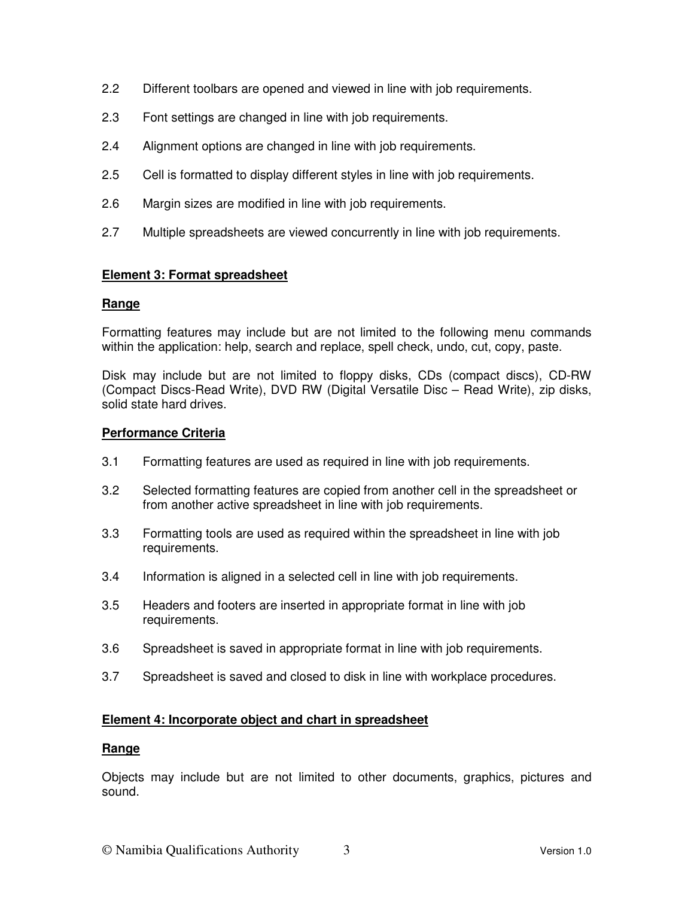- 2.2 Different toolbars are opened and viewed in line with job requirements.
- 2.3 Font settings are changed in line with job requirements.
- 2.4 Alignment options are changed in line with job requirements.
- 2.5 Cell is formatted to display different styles in line with job requirements.
- 2.6 Margin sizes are modified in line with job requirements.
- 2.7 Multiple spreadsheets are viewed concurrently in line with job requirements.

# **Element 3: Format spreadsheet**

#### **Range**

Formatting features may include but are not limited to the following menu commands within the application: help, search and replace, spell check, undo, cut, copy, paste.

Disk may include but are not limited to floppy disks, CDs (compact discs), CD-RW (Compact Discs-Read Write), DVD RW (Digital Versatile Disc – Read Write), zip disks, solid state hard drives.

#### **Performance Criteria**

- 3.1 Formatting features are used as required in line with job requirements.
- 3.2 Selected formatting features are copied from another cell in the spreadsheet or from another active spreadsheet in line with job requirements.
- 3.3 Formatting tools are used as required within the spreadsheet in line with job requirements.
- 3.4 Information is aligned in a selected cell in line with job requirements.
- 3.5 Headers and footers are inserted in appropriate format in line with job requirements.
- 3.6 Spreadsheet is saved in appropriate format in line with job requirements.
- 3.7 Spreadsheet is saved and closed to disk in line with workplace procedures.

#### **Element 4: Incorporate object and chart in spreadsheet**

#### **Range**

Objects may include but are not limited to other documents, graphics, pictures and sound.